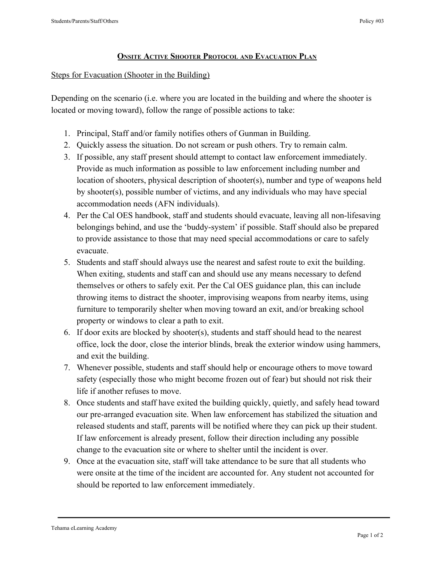## **ONSITE ACTIVE SHOOTER PROTOCOL AND EVACUATION PLAN**

## Steps for Evacuation (Shooter in the Building)

Depending on the scenario (i.e. where you are located in the building and where the shooter is located or moving toward), follow the range of possible actions to take:

- 1. Principal, Staff and/or family notifies others of Gunman in Building.
- 2. Quickly assess the situation. Do not scream or push others. Try to remain calm.
- 3. If possible, any staff present should attempt to contact law enforcement immediately. Provide as much information as possible to law enforcement including number and location of shooters, physical description of shooter(s), number and type of weapons held by shooter(s), possible number of victims, and any individuals who may have special accommodation needs (AFN individuals).
- 4. Per the Cal OES handbook, staff and students should evacuate, leaving all non-lifesaving belongings behind, and use the 'buddy-system' if possible. Staff should also be prepared to provide assistance to those that may need special accommodations or care to safely evacuate.
- 5. Students and staff should always use the nearest and safest route to exit the building. When exiting, students and staff can and should use any means necessary to defend themselves or others to safely exit. Per the Cal OES guidance plan, this can include throwing items to distract the shooter, improvising weapons from nearby items, using furniture to temporarily shelter when moving toward an exit, and/or breaking school property or windows to clear a path to exit.
- 6. If door exits are blocked by shooter(s), students and staff should head to the nearest office, lock the door, close the interior blinds, break the exterior window using hammers, and exit the building.
- 7. Whenever possible, students and staff should help or encourage others to move toward safety (especially those who might become frozen out of fear) but should not risk their life if another refuses to move.
- 8. Once students and staff have exited the building quickly, quietly, and safely head toward our pre-arranged evacuation site. When law enforcement has stabilized the situation and released students and staff, parents will be notified where they can pick up their student. If law enforcement is already present, follow their direction including any possible change to the evacuation site or where to shelter until the incident is over.
- 9. Once at the evacuation site, staff will take attendance to be sure that all students who were onsite at the time of the incident are accounted for. Any student not accounted for should be reported to law enforcement immediately.